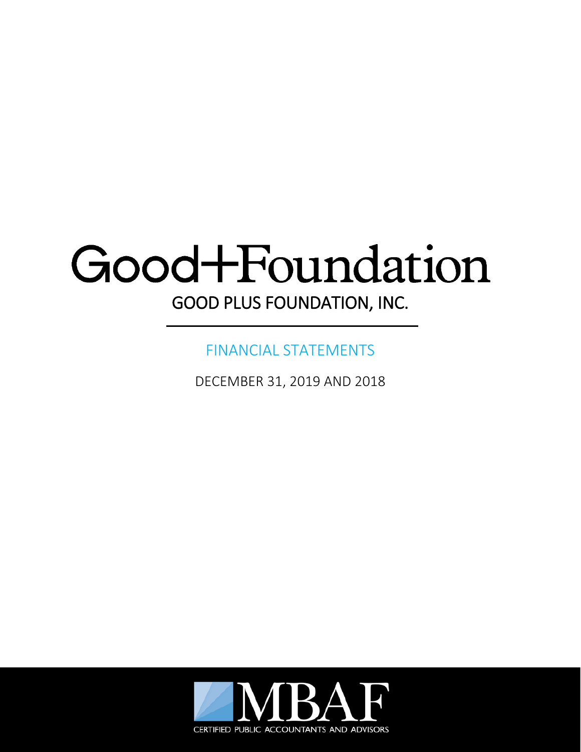# Good+Foundation GOOD PLUS FOUNDATION, INC.

## FINANCIAL STATEMENTS

DECEMBER 31, 2019 AND 2018

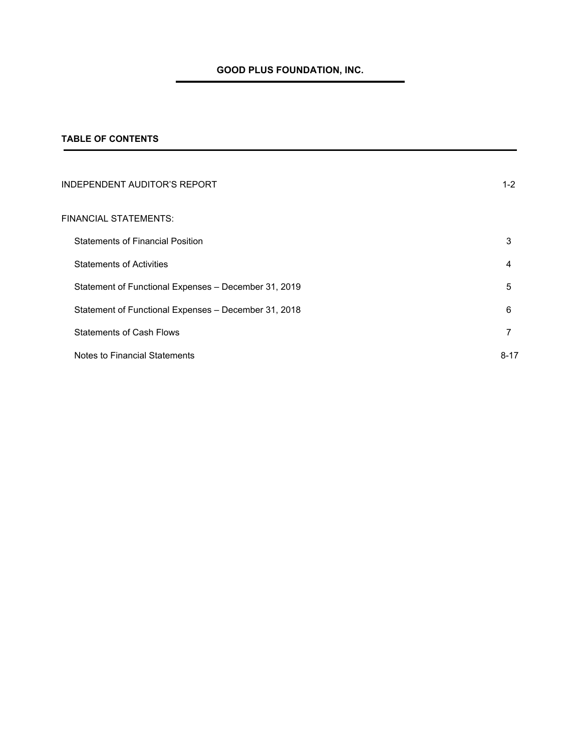## **TABLE OF CONTENTS**

| INDEPENDENT AUDITOR'S REPORT                         | $1 - 2$  |
|------------------------------------------------------|----------|
| FINANCIAL STATEMENTS:                                |          |
| <b>Statements of Financial Position</b>              | 3        |
| <b>Statements of Activities</b>                      | 4        |
| Statement of Functional Expenses – December 31, 2019 | 5        |
| Statement of Functional Expenses - December 31, 2018 | 6        |
| <b>Statements of Cash Flows</b>                      | 7        |
| Notes to Financial Statements                        | $8 - 17$ |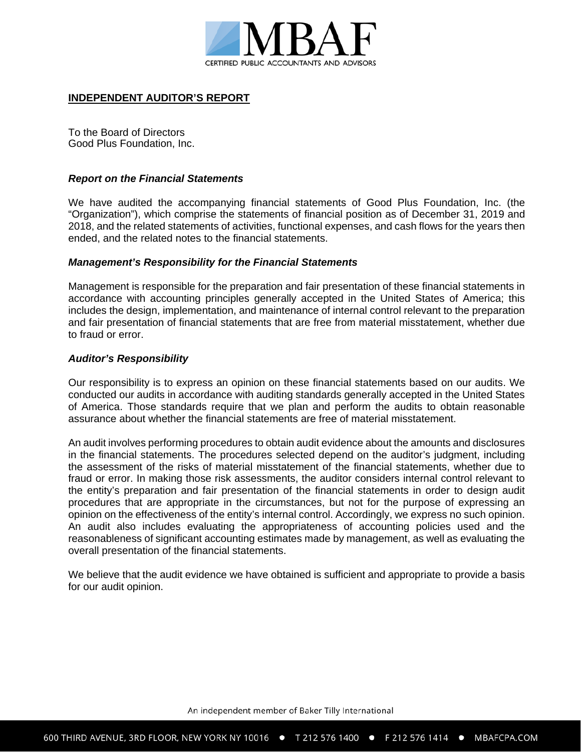

## **INDEPENDENT AUDITOR'S REPORT**

To the Board of Directors Good Plus Foundation, Inc.

#### *Report on the Financial Statements*

We have audited the accompanying financial statements of Good Plus Foundation, Inc. (the "Organization"), which comprise the statements of financial position as of December 31, 2019 and 2018, and the related statements of activities, functional expenses, and cash flows for the years then ended, and the related notes to the financial statements.

#### *Management's Responsibility for the Financial Statements*

Management is responsible for the preparation and fair presentation of these financial statements in accordance with accounting principles generally accepted in the United States of America; this includes the design, implementation, and maintenance of internal control relevant to the preparation and fair presentation of financial statements that are free from material misstatement, whether due to fraud or error.

#### *Auditor's Responsibility*

Our responsibility is to express an opinion on these financial statements based on our audits. We conducted our audits in accordance with auditing standards generally accepted in the United States of America. Those standards require that we plan and perform the audits to obtain reasonable assurance about whether the financial statements are free of material misstatement.

An audit involves performing procedures to obtain audit evidence about the amounts and disclosures in the financial statements. The procedures selected depend on the auditor's judgment, including the assessment of the risks of material misstatement of the financial statements, whether due to fraud or error. In making those risk assessments, the auditor considers internal control relevant to the entity's preparation and fair presentation of the financial statements in order to design audit procedures that are appropriate in the circumstances, but not for the purpose of expressing an opinion on the effectiveness of the entity's internal control. Accordingly, we express no such opinion. An audit also includes evaluating the appropriateness of accounting policies used and the reasonableness of significant accounting estimates made by management, as well as evaluating the overall presentation of the financial statements.

We believe that the audit evidence we have obtained is sufficient and appropriate to provide a basis for our audit opinion.

An independent member of Baker Tilly International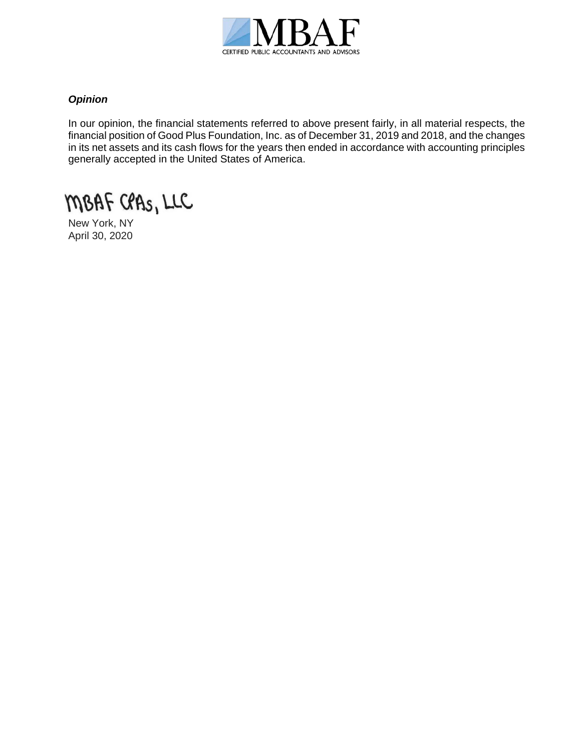

## *Opinion*

In our opinion, the financial statements referred to above present fairly, in all material respects, the financial position of Good Plus Foundation, Inc. as of December 31, 2019 and 2018, and the changes in its net assets and its cash flows for the years then ended in accordance with accounting principles generally accepted in the United States of America.

MBAF CPAS, LLC

New York, NY April 30, 2020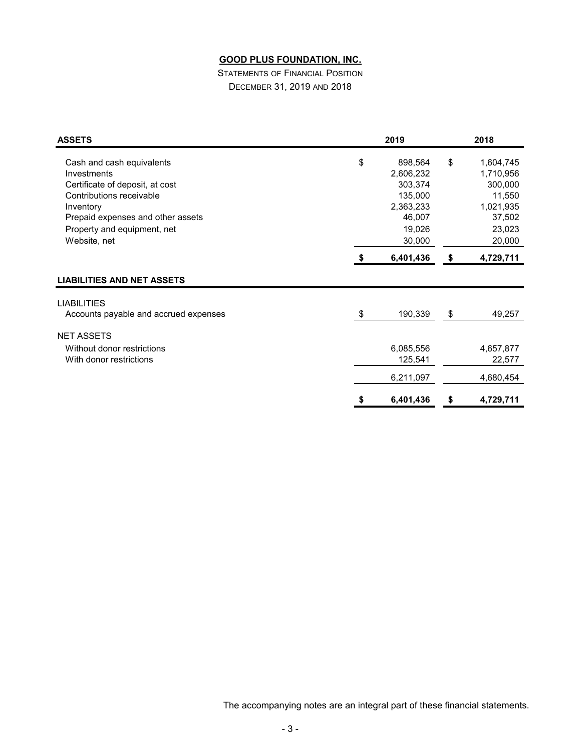STATEMENTS OF FINANCIAL POSITION DECEMBER 31, 2019 AND 2018

| <b>ASSETS</b>                                                                                                                                                                                            | 2019 |                                                                                       |    | 2018                                                                                   |  |  |
|----------------------------------------------------------------------------------------------------------------------------------------------------------------------------------------------------------|------|---------------------------------------------------------------------------------------|----|----------------------------------------------------------------------------------------|--|--|
| Cash and cash equivalents<br>Investments<br>Certificate of deposit, at cost<br>Contributions receivable<br>Inventory<br>Prepaid expenses and other assets<br>Property and equipment, net<br>Website, net | \$   | 898,564<br>2,606,232<br>303,374<br>135,000<br>2,363,233<br>46,007<br>19,026<br>30,000 |    | 1,604,745<br>1,710,956<br>300,000<br>11,550<br>1,021,935<br>37,502<br>23,023<br>20,000 |  |  |
|                                                                                                                                                                                                          |      | 6,401,436                                                                             | \$ | 4,729,711                                                                              |  |  |
| <b>LIABILITIES AND NET ASSETS</b>                                                                                                                                                                        |      |                                                                                       |    |                                                                                        |  |  |
| <b>LIABILITIES</b><br>Accounts payable and accrued expenses                                                                                                                                              | \$   | 190,339                                                                               | \$ | 49,257                                                                                 |  |  |
| <b>NET ASSETS</b><br>Without donor restrictions<br>With donor restrictions                                                                                                                               |      | 6,085,556<br>125,541                                                                  |    | 4,657,877<br>22,577                                                                    |  |  |
|                                                                                                                                                                                                          |      | 6,211,097                                                                             |    | 4,680,454                                                                              |  |  |
|                                                                                                                                                                                                          | S    | 6,401,436                                                                             | S  | 4,729,711                                                                              |  |  |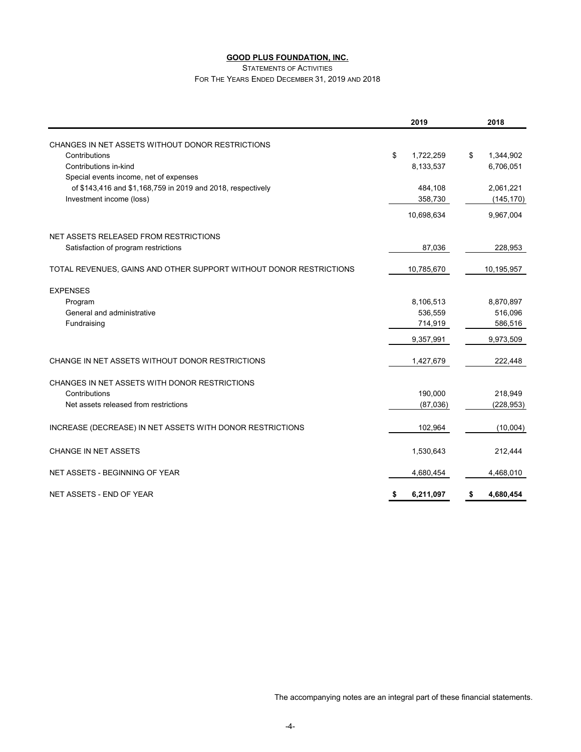STATEMENTS OF ACTIVITIES

FOR THE YEARS ENDED DECEMBER 31, 2019 AND 2018

|                                                                    | 2019            | 2018            |
|--------------------------------------------------------------------|-----------------|-----------------|
| CHANGES IN NET ASSETS WITHOUT DONOR RESTRICTIONS                   |                 |                 |
| Contributions                                                      | \$<br>1,722,259 | \$<br>1,344,902 |
| Contributions in-kind                                              | 8,133,537       | 6,706,051       |
| Special events income, net of expenses                             |                 |                 |
| of \$143,416 and \$1,168,759 in 2019 and 2018, respectively        | 484,108         | 2,061,221       |
| Investment income (loss)                                           | 358,730         | (145, 170)      |
|                                                                    | 10,698,634      | 9,967,004       |
| NET ASSETS RELEASED FROM RESTRICTIONS                              |                 |                 |
| Satisfaction of program restrictions                               | 87,036          | 228,953         |
| TOTAL REVENUES, GAINS AND OTHER SUPPORT WITHOUT DONOR RESTRICTIONS | 10,785,670      | 10,195,957      |
| <b>EXPENSES</b>                                                    |                 |                 |
| Program                                                            | 8,106,513       | 8,870,897       |
| General and administrative                                         | 536,559         | 516,096         |
| Fundraising                                                        | 714,919         | 586,516         |
|                                                                    | 9,357,991       | 9,973,509       |
| CHANGE IN NET ASSETS WITHOUT DONOR RESTRICTIONS                    | 1,427,679       | 222,448         |
| CHANGES IN NET ASSETS WITH DONOR RESTRICTIONS                      |                 |                 |
| Contributions                                                      | 190,000         | 218,949         |
| Net assets released from restrictions                              | (87,036)        | (228, 953)      |
| INCREASE (DECREASE) IN NET ASSETS WITH DONOR RESTRICTIONS          | 102,964         | (10,004)        |
| <b>CHANGE IN NET ASSETS</b>                                        | 1,530,643       | 212,444         |
| NET ASSETS - BEGINNING OF YEAR                                     | 4,680,454       | 4,468,010       |
| NET ASSETS - END OF YEAR                                           | \$<br>6,211,097 | 4,680,454<br>\$ |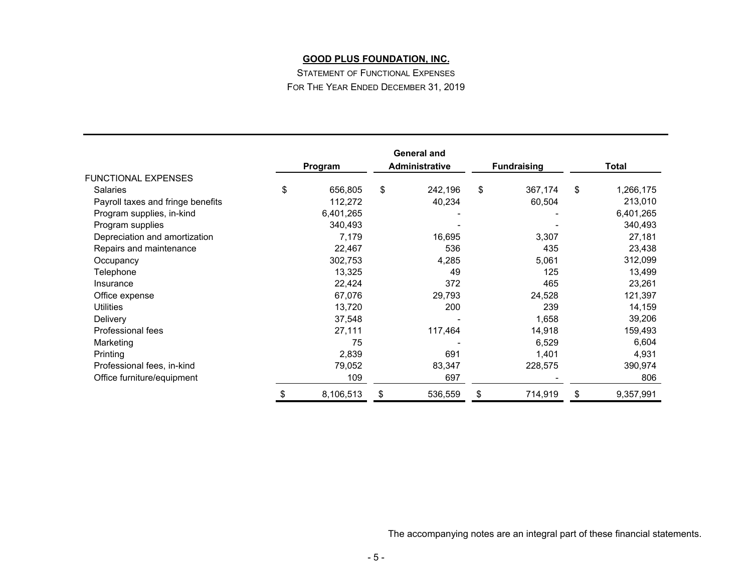STATEMENT OF FUNCTIONAL EXPENSES FOR THE YEAR ENDED DECEMBER 31, 2019

|                                   | Program         | <b>General and</b><br><b>Administrative</b> | <b>Fundraising</b> | <b>Total</b>    |
|-----------------------------------|-----------------|---------------------------------------------|--------------------|-----------------|
| <b>FUNCTIONAL EXPENSES</b>        |                 |                                             |                    |                 |
| <b>Salaries</b>                   | \$<br>656,805   | \$<br>242,196                               | \$<br>367,174      | \$<br>1,266,175 |
| Payroll taxes and fringe benefits | 112,272         | 40,234                                      | 60,504             | 213,010         |
| Program supplies, in-kind         | 6,401,265       |                                             |                    | 6,401,265       |
| Program supplies                  | 340,493         |                                             |                    | 340,493         |
| Depreciation and amortization     | 7,179           | 16,695                                      | 3,307              | 27,181          |
| Repairs and maintenance           | 22,467          | 536                                         | 435                | 23,438          |
| Occupancy                         | 302,753         | 4,285                                       | 5,061              | 312,099         |
| Telephone                         | 13,325          | 49                                          | 125                | 13,499          |
| Insurance                         | 22,424          | 372                                         | 465                | 23,261          |
| Office expense                    | 67,076          | 29,793                                      | 24,528             | 121,397         |
| <b>Utilities</b>                  | 13,720          | 200                                         | 239                | 14,159          |
| Delivery                          | 37,548          |                                             | 1,658              | 39,206          |
| Professional fees                 | 27,111          | 117,464                                     | 14,918             | 159,493         |
| Marketing                         | 75              |                                             | 6,529              | 6,604           |
| Printing                          | 2,839           | 691                                         | 1,401              | 4,931           |
| Professional fees, in-kind        | 79,052          | 83,347                                      | 228,575            | 390,974         |
| Office furniture/equipment        | 109             | 697                                         |                    | 806             |
|                                   | \$<br>8,106,513 | \$<br>536,559                               | \$<br>714,919      | \$<br>9,357,991 |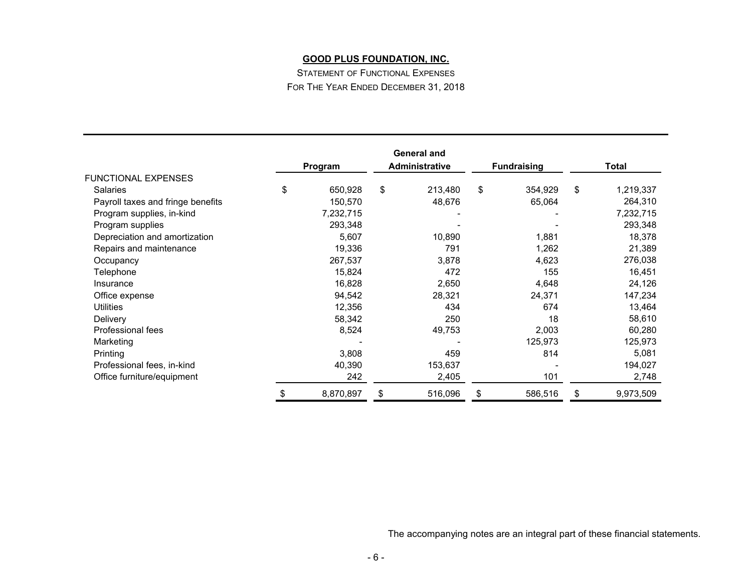STATEMENT OF FUNCTIONAL EXPENSES FOR THE YEAR ENDED DECEMBER 31, 2018

|                                   | Program         | <b>General and</b><br><b>Administrative</b> | <b>Fundraising</b> | <b>Total</b>    |
|-----------------------------------|-----------------|---------------------------------------------|--------------------|-----------------|
| <b>FUNCTIONAL EXPENSES</b>        |                 |                                             |                    |                 |
| <b>Salaries</b>                   | \$<br>650,928   | \$<br>213,480                               | \$<br>354,929      | \$<br>1,219,337 |
| Payroll taxes and fringe benefits | 150,570         | 48,676                                      | 65,064             | 264,310         |
| Program supplies, in-kind         | 7,232,715       |                                             |                    | 7,232,715       |
| Program supplies                  | 293,348         |                                             |                    | 293,348         |
| Depreciation and amortization     | 5,607           | 10,890                                      | 1,881              | 18,378          |
| Repairs and maintenance           | 19,336          | 791                                         | 1,262              | 21,389          |
| Occupancy                         | 267,537         | 3,878                                       | 4,623              | 276,038         |
| Telephone                         | 15,824          | 472                                         | 155                | 16,451          |
| Insurance                         | 16,828          | 2,650                                       | 4,648              | 24,126          |
| Office expense                    | 94,542          | 28,321                                      | 24,371             | 147,234         |
| <b>Utilities</b>                  | 12,356          | 434                                         | 674                | 13,464          |
| Delivery                          | 58,342          | 250                                         | 18                 | 58,610          |
| Professional fees                 | 8,524           | 49,753                                      | 2,003              | 60,280          |
| Marketing                         |                 |                                             | 125,973            | 125,973         |
| Printing                          | 3,808           | 459                                         | 814                | 5,081           |
| Professional fees, in-kind        | 40,390          | 153,637                                     |                    | 194,027         |
| Office furniture/equipment        | 242             | 2,405                                       | 101                | 2,748           |
|                                   | \$<br>8,870,897 | \$<br>516,096                               | \$<br>586,516      | \$<br>9,973,509 |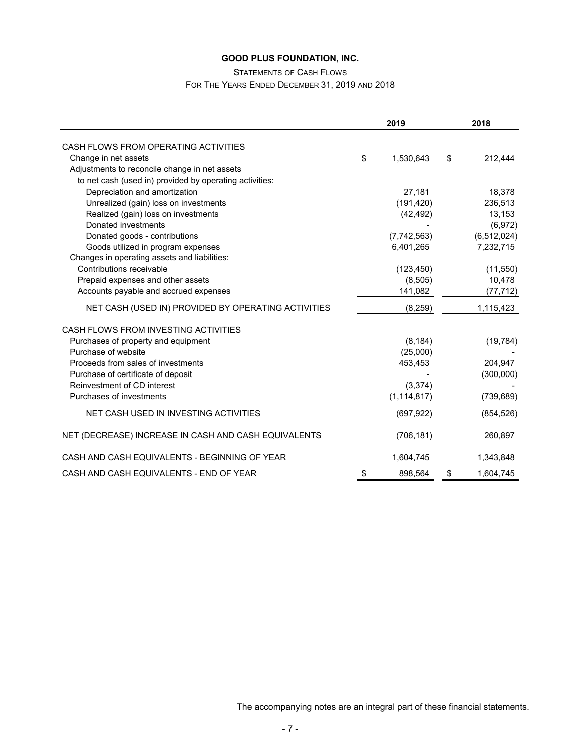#### STATEMENTS OF CASH FLOWS

## FOR THE YEARS ENDED DECEMBER 31, 2019 AND 2018

|                                                         | 2019            | 2018            |
|---------------------------------------------------------|-----------------|-----------------|
| CASH FLOWS FROM OPERATING ACTIVITIES                    |                 |                 |
| Change in net assets                                    | \$<br>1,530,643 | \$<br>212,444   |
| Adjustments to reconcile change in net assets           |                 |                 |
| to net cash (used in) provided by operating activities: |                 |                 |
| Depreciation and amortization                           | 27,181          | 18,378          |
| Unrealized (gain) loss on investments                   | (191, 420)      | 236,513         |
| Realized (gain) loss on investments                     | (42, 492)       | 13,153          |
| Donated investments                                     |                 | (6,972)         |
| Donated goods - contributions                           | (7,742,563)     | (6, 512, 024)   |
| Goods utilized in program expenses                      | 6,401,265       | 7,232,715       |
| Changes in operating assets and liabilities:            |                 |                 |
| Contributions receivable                                | (123, 450)      | (11, 550)       |
| Prepaid expenses and other assets                       | (8,505)         | 10,478          |
| Accounts payable and accrued expenses                   | 141,082         | (77, 712)       |
| NET CASH (USED IN) PROVIDED BY OPERATING ACTIVITIES     | (8, 259)        | 1,115,423       |
| CASH FLOWS FROM INVESTING ACTIVITIES                    |                 |                 |
| Purchases of property and equipment                     | (8, 184)        | (19, 784)       |
| Purchase of website                                     | (25,000)        |                 |
| Proceeds from sales of investments                      | 453,453         | 204,947         |
| Purchase of certificate of deposit                      |                 | (300,000)       |
| Reinvestment of CD interest                             | (3, 374)        |                 |
| Purchases of investments                                | (1, 114, 817)   | (739, 689)      |
| NET CASH USED IN INVESTING ACTIVITIES                   | (697, 922)      | (854,526)       |
| NET (DECREASE) INCREASE IN CASH AND CASH EQUIVALENTS    | (706, 181)      | 260,897         |
| CASH AND CASH EQUIVALENTS - BEGINNING OF YEAR           | 1,604,745       | 1,343,848       |
| CASH AND CASH EQUIVALENTS - END OF YEAR                 | \$<br>898,564   | \$<br>1,604,745 |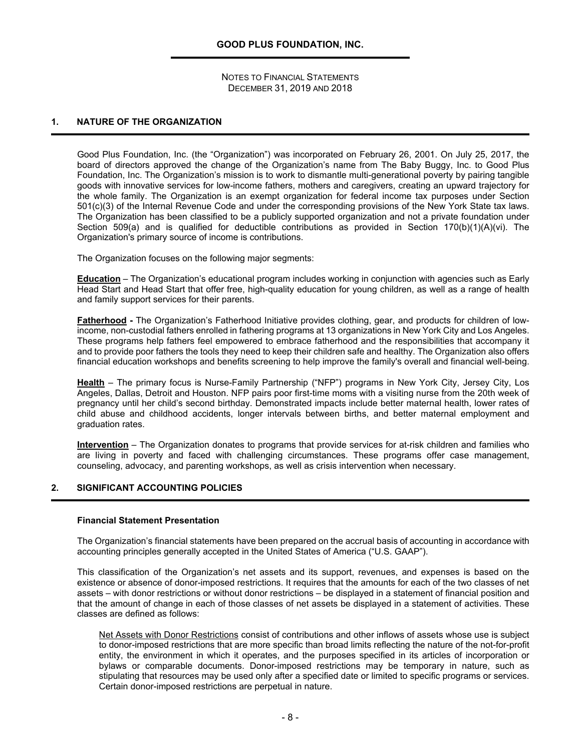#### **1. NATURE OF THE ORGANIZATION**

Good Plus Foundation, Inc. (the "Organization") was incorporated on February 26, 2001. On July 25, 2017, the board of directors approved the change of the Organization's name from The Baby Buggy, Inc. to Good Plus Foundation, Inc. The Organization's mission is to work to dismantle multi-generational poverty by pairing tangible goods with innovative services for low-income fathers, mothers and caregivers, creating an upward trajectory for the whole family. The Organization is an exempt organization for federal income tax purposes under Section 501(c)(3) of the Internal Revenue Code and under the corresponding provisions of the New York State tax laws. The Organization has been classified to be a publicly supported organization and not a private foundation under Section 509(a) and is qualified for deductible contributions as provided in Section 170(b)(1)(A)(vi). The Organization's primary source of income is contributions.

The Organization focuses on the following major segments:

**Education** – The Organization's educational program includes working in conjunction with agencies such as Early Head Start and Head Start that offer free, high-quality education for young children, as well as a range of health and family support services for their parents.

**Fatherhood -** The Organization's Fatherhood Initiative provides clothing, gear, and products for children of lowincome, non-custodial fathers enrolled in fathering programs at 13 organizations in New York City and Los Angeles. These programs help fathers feel empowered to embrace fatherhood and the responsibilities that accompany it and to provide poor fathers the tools they need to keep their children safe and healthy. The Organization also offers financial education workshops and benefits screening to help improve the family's overall and financial well-being.

**Health** – The primary focus is Nurse-Family Partnership ("NFP") programs in New York City, Jersey City, Los Angeles, Dallas, Detroit and Houston. NFP pairs poor first-time moms with a visiting nurse from the 20th week of pregnancy until her child's second birthday. Demonstrated impacts include better maternal health, lower rates of child abuse and childhood accidents, longer intervals between births, and better maternal employment and graduation rates.

**Intervention** – The Organization donates to programs that provide services for at-risk children and families who are living in poverty and faced with challenging circumstances. These programs offer case management, counseling, advocacy, and parenting workshops, as well as crisis intervention when necessary.

#### **2. SIGNIFICANT ACCOUNTING POLICIES**

#### **Financial Statement Presentation**

The Organization's financial statements have been prepared on the accrual basis of accounting in accordance with accounting principles generally accepted in the United States of America ("U.S. GAAP").

This classification of the Organization's net assets and its support, revenues, and expenses is based on the existence or absence of donor-imposed restrictions. It requires that the amounts for each of the two classes of net assets – with donor restrictions or without donor restrictions – be displayed in a statement of financial position and that the amount of change in each of those classes of net assets be displayed in a statement of activities. These classes are defined as follows:

Net Assets with Donor Restrictions consist of contributions and other inflows of assets whose use is subject to donor-imposed restrictions that are more specific than broad limits reflecting the nature of the not-for-profit entity, the environment in which it operates, and the purposes specified in its articles of incorporation or bylaws or comparable documents. Donor-imposed restrictions may be temporary in nature, such as stipulating that resources may be used only after a specified date or limited to specific programs or services. Certain donor-imposed restrictions are perpetual in nature.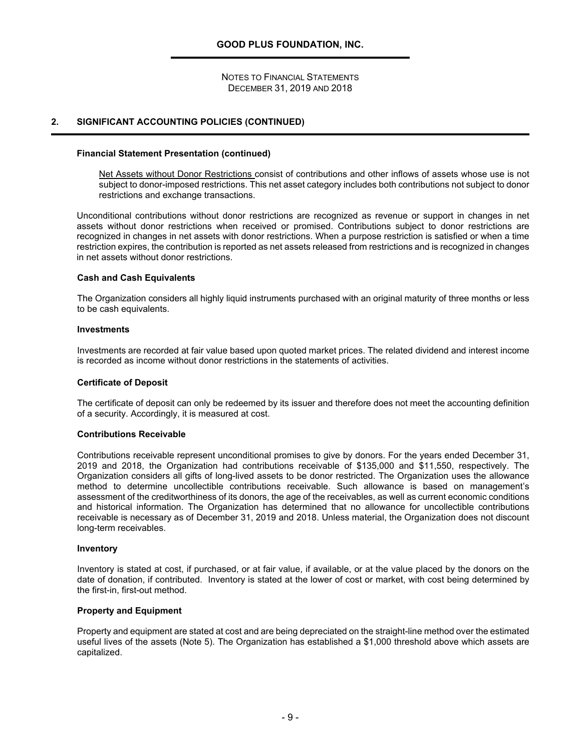#### **2. SIGNIFICANT ACCOUNTING POLICIES (CONTINUED)**

#### **Financial Statement Presentation (continued)**

Net Assets without Donor Restrictions consist of contributions and other inflows of assets whose use is not subject to donor-imposed restrictions. This net asset category includes both contributions not subject to donor restrictions and exchange transactions.

Unconditional contributions without donor restrictions are recognized as revenue or support in changes in net assets without donor restrictions when received or promised. Contributions subject to donor restrictions are recognized in changes in net assets with donor restrictions. When a purpose restriction is satisfied or when a time restriction expires, the contribution is reported as net assets released from restrictions and is recognized in changes in net assets without donor restrictions.

#### **Cash and Cash Equivalents**

The Organization considers all highly liquid instruments purchased with an original maturity of three months or less to be cash equivalents.

#### **Investments**

Investments are recorded at fair value based upon quoted market prices. The related dividend and interest income is recorded as income without donor restrictions in the statements of activities.

#### **Certificate of Deposit**

The certificate of deposit can only be redeemed by its issuer and therefore does not meet the accounting definition of a security. Accordingly, it is measured at cost.

#### **Contributions Receivable**

Contributions receivable represent unconditional promises to give by donors. For the years ended December 31, 2019 and 2018, the Organization had contributions receivable of \$135,000 and \$11,550, respectively. The Organization considers all gifts of long-lived assets to be donor restricted. The Organization uses the allowance method to determine uncollectible contributions receivable. Such allowance is based on management's assessment of the creditworthiness of its donors, the age of the receivables, as well as current economic conditions and historical information. The Organization has determined that no allowance for uncollectible contributions receivable is necessary as of December 31, 2019 and 2018. Unless material, the Organization does not discount long-term receivables.

#### **Inventory**

Inventory is stated at cost, if purchased, or at fair value, if available, or at the value placed by the donors on the date of donation, if contributed. Inventory is stated at the lower of cost or market, with cost being determined by the first-in, first-out method.

#### **Property and Equipment**

Property and equipment are stated at cost and are being depreciated on the straight-line method over the estimated useful lives of the assets (Note 5). The Organization has established a \$1,000 threshold above which assets are capitalized.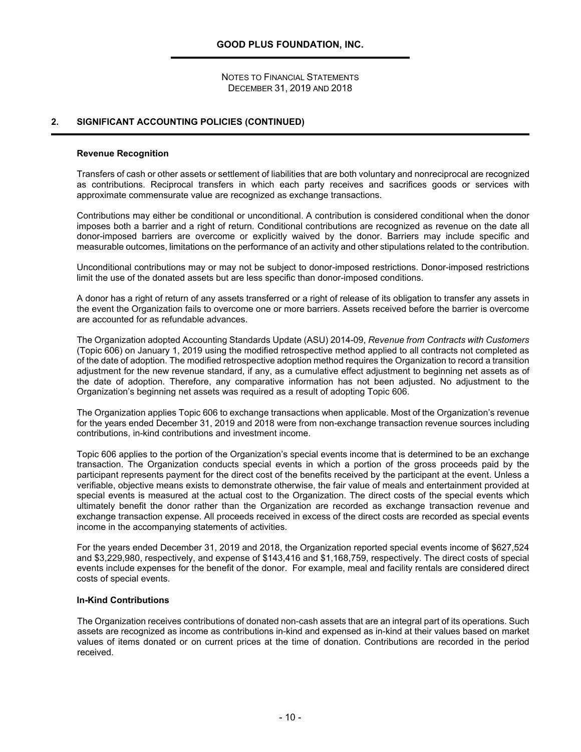#### **2. SIGNIFICANT ACCOUNTING POLICIES (CONTINUED)**

#### **Revenue Recognition**

Transfers of cash or other assets or settlement of liabilities that are both voluntary and nonreciprocal are recognized as contributions. Reciprocal transfers in which each party receives and sacrifices goods or services with approximate commensurate value are recognized as exchange transactions.

Contributions may either be conditional or unconditional. A contribution is considered conditional when the donor imposes both a barrier and a right of return. Conditional contributions are recognized as revenue on the date all donor-imposed barriers are overcome or explicitly waived by the donor. Barriers may include specific and measurable outcomes, limitations on the performance of an activity and other stipulations related to the contribution.

Unconditional contributions may or may not be subject to donor-imposed restrictions. Donor-imposed restrictions limit the use of the donated assets but are less specific than donor-imposed conditions.

A donor has a right of return of any assets transferred or a right of release of its obligation to transfer any assets in the event the Organization fails to overcome one or more barriers. Assets received before the barrier is overcome are accounted for as refundable advances.

The Organization adopted Accounting Standards Update (ASU) 2014-09, *Revenue from Contracts with Customers* (Topic 606) on January 1, 2019 using the modified retrospective method applied to all contracts not completed as of the date of adoption. The modified retrospective adoption method requires the Organization to record a transition adjustment for the new revenue standard, if any, as a cumulative effect adjustment to beginning net assets as of the date of adoption. Therefore, any comparative information has not been adjusted. No adjustment to the Organization's beginning net assets was required as a result of adopting Topic 606.

The Organization applies Topic 606 to exchange transactions when applicable. Most of the Organization's revenue for the years ended December 31, 2019 and 2018 were from non-exchange transaction revenue sources including contributions, in-kind contributions and investment income.

Topic 606 applies to the portion of the Organization's special events income that is determined to be an exchange transaction. The Organization conducts special events in which a portion of the gross proceeds paid by the participant represents payment for the direct cost of the benefits received by the participant at the event. Unless a verifiable, objective means exists to demonstrate otherwise, the fair value of meals and entertainment provided at special events is measured at the actual cost to the Organization. The direct costs of the special events which ultimately benefit the donor rather than the Organization are recorded as exchange transaction revenue and exchange transaction expense. All proceeds received in excess of the direct costs are recorded as special events income in the accompanying statements of activities.

For the years ended December 31, 2019 and 2018, the Organization reported special events income of \$627,524 and \$3,229,980, respectively, and expense of \$143,416 and \$1,168,759, respectively. The direct costs of special events include expenses for the benefit of the donor. For example, meal and facility rentals are considered direct costs of special events.

#### **In-Kind Contributions**

The Organization receives contributions of donated non-cash assets that are an integral part of its operations. Such assets are recognized as income as contributions in-kind and expensed as in-kind at their values based on market values of items donated or on current prices at the time of donation. Contributions are recorded in the period received.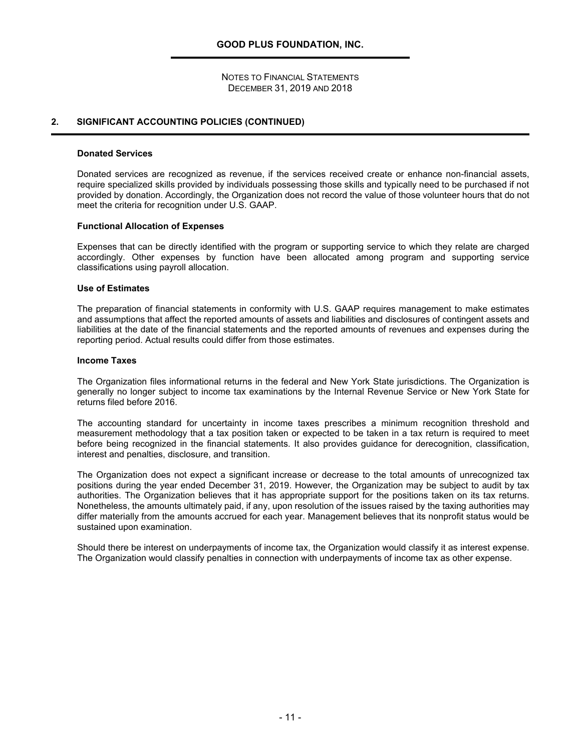#### **2. SIGNIFICANT ACCOUNTING POLICIES (CONTINUED)**

#### **Donated Services**

Donated services are recognized as revenue, if the services received create or enhance non-financial assets, require specialized skills provided by individuals possessing those skills and typically need to be purchased if not provided by donation. Accordingly, the Organization does not record the value of those volunteer hours that do not meet the criteria for recognition under U.S. GAAP.

#### **Functional Allocation of Expenses**

Expenses that can be directly identified with the program or supporting service to which they relate are charged accordingly. Other expenses by function have been allocated among program and supporting service classifications using payroll allocation.

#### **Use of Estimates**

The preparation of financial statements in conformity with U.S. GAAP requires management to make estimates and assumptions that affect the reported amounts of assets and liabilities and disclosures of contingent assets and liabilities at the date of the financial statements and the reported amounts of revenues and expenses during the reporting period. Actual results could differ from those estimates.

#### **Income Taxes**

The Organization files informational returns in the federal and New York State jurisdictions. The Organization is generally no longer subject to income tax examinations by the Internal Revenue Service or New York State for returns filed before 2016.

The accounting standard for uncertainty in income taxes prescribes a minimum recognition threshold and measurement methodology that a tax position taken or expected to be taken in a tax return is required to meet before being recognized in the financial statements. It also provides guidance for derecognition, classification, interest and penalties, disclosure, and transition.

The Organization does not expect a significant increase or decrease to the total amounts of unrecognized tax positions during the year ended December 31, 2019. However, the Organization may be subject to audit by tax authorities. The Organization believes that it has appropriate support for the positions taken on its tax returns. Nonetheless, the amounts ultimately paid, if any, upon resolution of the issues raised by the taxing authorities may differ materially from the amounts accrued for each year. Management believes that its nonprofit status would be sustained upon examination.

Should there be interest on underpayments of income tax, the Organization would classify it as interest expense. The Organization would classify penalties in connection with underpayments of income tax as other expense.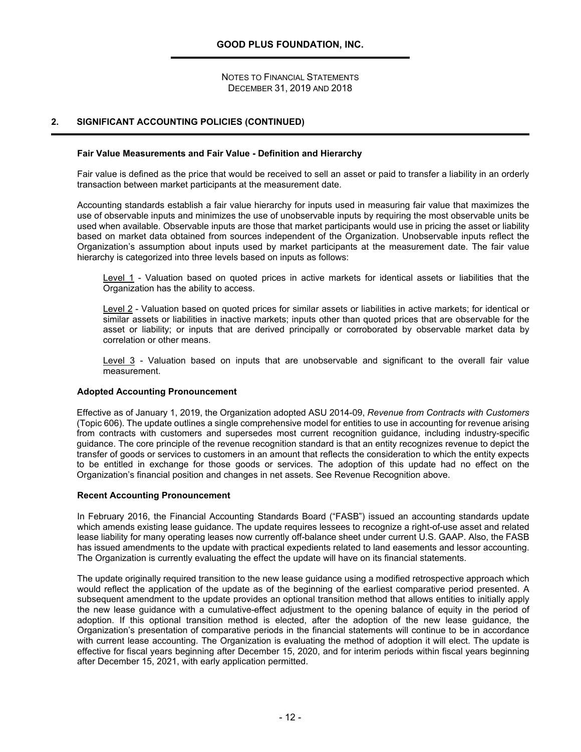#### **2. SIGNIFICANT ACCOUNTING POLICIES (CONTINUED)**

#### **Fair Value Measurements and Fair Value - Definition and Hierarchy**

Fair value is defined as the price that would be received to sell an asset or paid to transfer a liability in an orderly transaction between market participants at the measurement date.

Accounting standards establish a fair value hierarchy for inputs used in measuring fair value that maximizes the use of observable inputs and minimizes the use of unobservable inputs by requiring the most observable units be used when available. Observable inputs are those that market participants would use in pricing the asset or liability based on market data obtained from sources independent of the Organization. Unobservable inputs reflect the Organization's assumption about inputs used by market participants at the measurement date. The fair value hierarchy is categorized into three levels based on inputs as follows:

Level 1 - Valuation based on quoted prices in active markets for identical assets or liabilities that the Organization has the ability to access.

Level 2 - Valuation based on quoted prices for similar assets or liabilities in active markets; for identical or similar assets or liabilities in inactive markets; inputs other than quoted prices that are observable for the asset or liability; or inputs that are derived principally or corroborated by observable market data by correlation or other means.

Level 3 - Valuation based on inputs that are unobservable and significant to the overall fair value measurement.

#### **Adopted Accounting Pronouncement**

Effective as of January 1, 2019, the Organization adopted ASU 2014-09, *Revenue from Contracts with Customers* (Topic 606). The update outlines a single comprehensive model for entities to use in accounting for revenue arising from contracts with customers and supersedes most current recognition guidance, including industry-specific guidance. The core principle of the revenue recognition standard is that an entity recognizes revenue to depict the transfer of goods or services to customers in an amount that reflects the consideration to which the entity expects to be entitled in exchange for those goods or services. The adoption of this update had no effect on the Organization's financial position and changes in net assets. See Revenue Recognition above.

#### **Recent Accounting Pronouncement**

In February 2016, the Financial Accounting Standards Board ("FASB") issued an accounting standards update which amends existing lease guidance. The update requires lessees to recognize a right-of-use asset and related lease liability for many operating leases now currently off-balance sheet under current U.S. GAAP. Also, the FASB has issued amendments to the update with practical expedients related to land easements and lessor accounting. The Organization is currently evaluating the effect the update will have on its financial statements.

The update originally required transition to the new lease guidance using a modified retrospective approach which would reflect the application of the update as of the beginning of the earliest comparative period presented. A subsequent amendment to the update provides an optional transition method that allows entities to initially apply the new lease guidance with a cumulative-effect adjustment to the opening balance of equity in the period of adoption. If this optional transition method is elected, after the adoption of the new lease guidance, the Organization's presentation of comparative periods in the financial statements will continue to be in accordance with current lease accounting. The Organization is evaluating the method of adoption it will elect. The update is effective for fiscal years beginning after December 15, 2020, and for interim periods within fiscal years beginning after December 15, 2021, with early application permitted.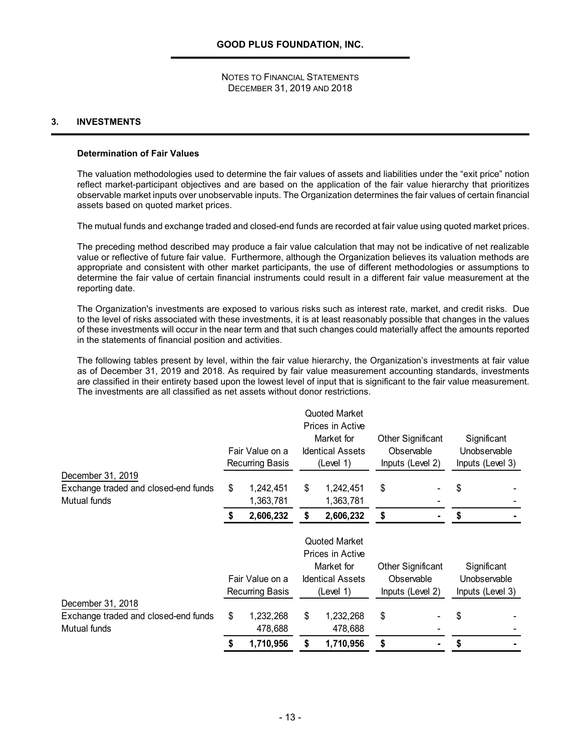#### **3. INVESTMENTS**

#### **Determination of Fair Values**

The valuation methodologies used to determine the fair values of assets and liabilities under the "exit price" notion reflect market-participant objectives and are based on the application of the fair value hierarchy that prioritizes observable market inputs over unobservable inputs. The Organization determines the fair values of certain financial assets based on quoted market prices.

The mutual funds and exchange traded and closed-end funds are recorded at fair value using quoted market prices.

The preceding method described may produce a fair value calculation that may not be indicative of net realizable value or reflective of future fair value. Furthermore, although the Organization believes its valuation methods are appropriate and consistent with other market participants, the use of different methodologies or assumptions to determine the fair value of certain financial instruments could result in a different fair value measurement at the reporting date.

The Organization's investments are exposed to various risks such as interest rate, market, and credit risks. Due to the level of risks associated with these investments, it is at least reasonably possible that changes in the values of these investments will occur in the near term and that such changes could materially affect the amounts reported in the statements of financial position and activities.

The following tables present by level, within the fair value hierarchy, the Organization's investments at fair value as of December 31, 2019 and 2018. As required by fair value measurement accounting standards, investments are classified in their entirety based upon the lowest level of input that is significant to the fair value measurement. The investments are all classified as net assets without donor restrictions.

|                                                      |    |                                                                            |    | Quoted Market<br>Prices in Active                  |    |                                                            |                                                 |  |
|------------------------------------------------------|----|----------------------------------------------------------------------------|----|----------------------------------------------------|----|------------------------------------------------------------|-------------------------------------------------|--|
|                                                      |    | Fair Value on a<br>Recurring Basis                                         |    | Market for<br><b>Identical Assets</b><br>(Level 1) |    | <b>Other Significant</b><br>Observable<br>Inputs (Level 2) | Significant<br>Unobservable<br>Inputs (Level 3) |  |
| December 31, 2019                                    |    |                                                                            |    |                                                    |    |                                                            |                                                 |  |
| Exchange traded and closed-end funds<br>Mutual funds | \$ | 1,242,451<br>1,363,781                                                     | \$ | 1,242,451<br>1,363,781                             | \$ |                                                            | \$                                              |  |
|                                                      | S  | 2,606,232                                                                  | \$ | 2,606,232                                          | \$ |                                                            | \$                                              |  |
|                                                      |    |                                                                            |    | <b>Quoted Market</b><br>Prices in Active           |    |                                                            |                                                 |  |
|                                                      |    |                                                                            |    | Market for                                         |    | <b>Other Significant</b>                                   | Significant                                     |  |
|                                                      |    | Fair Value on a<br><b>Identical Assets</b><br>Recurring Basis<br>(Level 1) |    | Observable<br>Inputs (Level 2)                     |    |                                                            | Unobservable<br>Inputs (Level 3)                |  |
| December 31, 2018                                    |    |                                                                            |    |                                                    |    |                                                            |                                                 |  |
| Exchange traded and closed-end funds<br>Mutual funds | \$ | 1,232,268<br>478,688                                                       | \$ | 1,232,268<br>478,688                               | \$ |                                                            | \$                                              |  |
|                                                      | \$ | 1,710,956                                                                  | \$ | 1,710,956                                          | \$ |                                                            |                                                 |  |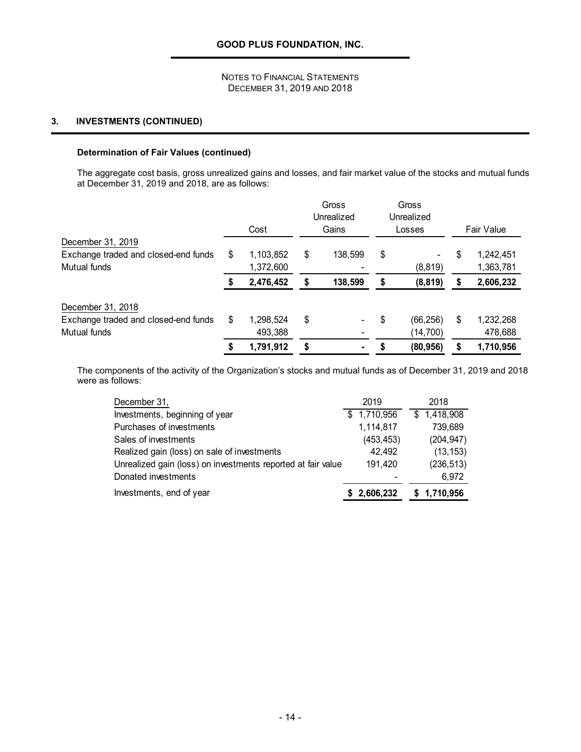## **3. INVESTMENTS (CONTINUED)**

#### **Determination of Fair Values (continued)**

The aggregate cost basis, gross unrealized gains and losses, and fair market value of the stocks and mutual funds at December 31, 2019 and 2018, are as follows:

|                                                                           | Cost                         | Gross<br>Unrealized<br>Gains | Gross<br>Unrealized<br>Losses |    | <b>Fair Value</b>      |
|---------------------------------------------------------------------------|------------------------------|------------------------------|-------------------------------|----|------------------------|
| December 31, 2019<br>Exchange traded and closed-end funds<br>Mutual funds | \$<br>1,103,852<br>1,372,600 | \$<br>138,599                | \$<br>(8, 819)                | \$ | 1,242,451<br>1,363,781 |
|                                                                           | 2,476,452                    | \$<br>138,599                | \$<br>(8, 819)                | S  | 2,606,232              |
| December 31, 2018<br>Exchange traded and closed-end funds<br>Mutual funds | \$<br>1,298,524<br>493,388   | \$<br>٠                      | \$<br>(66, 256)<br>(14, 700)  | \$ | 1,232,268<br>478,688   |
|                                                                           | 1,791,912                    | \$                           | (80, 956)                     | S  | 1,710,956              |

The components of the activity of the Organization's stocks and mutual funds as of December 31, 2019 and 2018 were as follows:

| December 31,                                                 | 2019        | 2018        |
|--------------------------------------------------------------|-------------|-------------|
| Investments, beginning of year                               | \$1,710,956 | \$1,418,908 |
| Purchases of investments                                     | 1,114,817   | 739,689     |
| Sales of investments                                         | (453, 453)  | (204, 947)  |
| Realized gain (loss) on sale of investments                  | 42,492      | (13, 153)   |
| Unrealized gain (loss) on investments reported at fair value | 191,420     | (236, 513)  |
| Donated investments                                          |             | 6,972       |
| Investments, end of year                                     | \$2,606,232 | \$1,710,956 |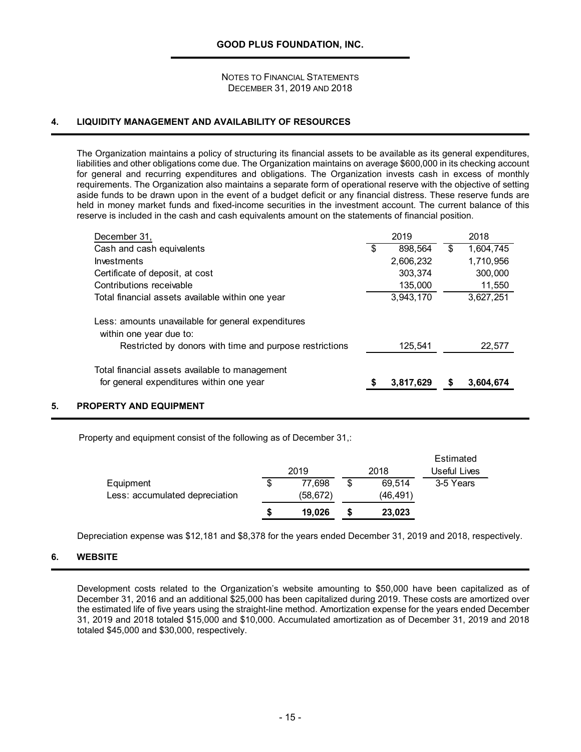#### **4. LIQUIDITY MANAGEMENT AND AVAILABILITY OF RESOURCES**

The Organization maintains a policy of structuring its financial assets to be available as its general expenditures, liabilities and other obligations come due. The Organization maintains on average \$600,000 in its checking account for general and recurring expenditures and obligations. The Organization invests cash in excess of monthly requirements. The Organization also maintains a separate form of operational reserve with the objective of setting aside funds to be drawn upon in the event of a budget deficit or any financial distress. These reserve funds are held in money market funds and fixed-income securities in the investment account. The current balance of this reserve is included in the cash and cash equivalents amount on the statements of financial position.

| December 31,                                                                               |     | 2019      | 2018            |
|--------------------------------------------------------------------------------------------|-----|-----------|-----------------|
| Cash and cash equivalents                                                                  | \$. | 898,564   | \$<br>1,604,745 |
| <b>Investments</b>                                                                         |     | 2,606,232 | 1,710,956       |
| Certificate of deposit, at cost                                                            |     | 303,374   | 300,000         |
| Contributions receivable                                                                   |     | 135,000   | 11,550          |
| Total financial assets available within one year                                           |     | 3,943,170 | 3,627,251       |
| Less: amounts unavailable for general expenditures<br>within one year due to:              |     |           |                 |
| Restricted by donors with time and purpose restrictions                                    |     | 125.541   | 22,577          |
| Total financial assets available to management<br>for general expenditures within one year |     | 3,817,629 | 3,604,674       |

#### **5. PROPERTY AND EQUIPMENT**

Property and equipment consist of the following as of December 31,:

|                                             |    | 2019               | 2018                     | Estimated<br>Useful Lives |
|---------------------------------------------|----|--------------------|--------------------------|---------------------------|
| Equipment<br>Less: accumulated depreciation | \$ | 77.698<br>(58,672) | \$<br>69.514<br>(46,491) | 3-5 Years                 |
|                                             | S  | 19.026             | 23,023                   |                           |

Depreciation expense was \$12,181 and \$8,378 for the years ended December 31, 2019 and 2018, respectively.

#### **6. WEBSITE**

Development costs related to the Organization's website amounting to \$50,000 have been capitalized as of December 31, 2016 and an additional \$25,000 has been capitalized during 2019. These costs are amortized over the estimated life of five years using the straight-line method. Amortization expense for the years ended December 31, 2019 and 2018 totaled \$15,000 and \$10,000. Accumulated amortization as of December 31, 2019 and 2018 totaled \$45,000 and \$30,000, respectively.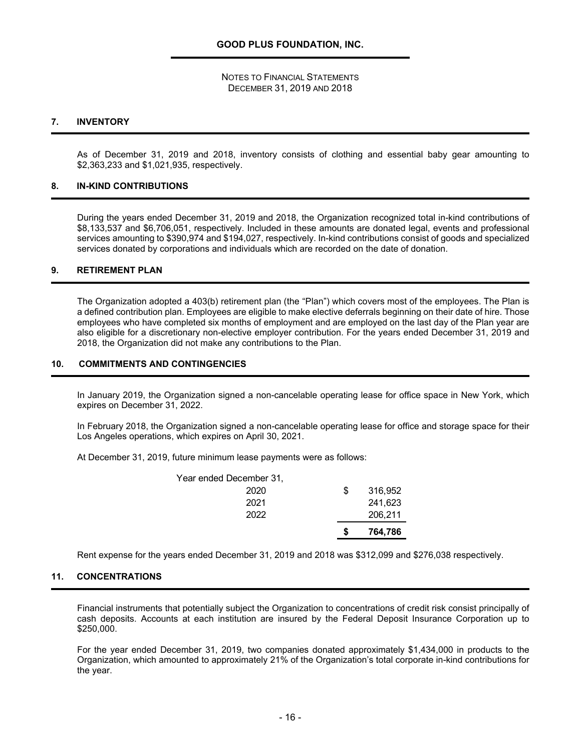#### **7. INVENTORY**

As of December 31, 2019 and 2018, inventory consists of clothing and essential baby gear amounting to \$2,363,233 and \$1,021,935, respectively.

#### **8. IN-KIND CONTRIBUTIONS**

During the years ended December 31, 2019 and 2018, the Organization recognized total in-kind contributions of \$8,133,537 and \$6,706,051, respectively. Included in these amounts are donated legal, events and professional services amounting to \$390,974 and \$194,027, respectively. In-kind contributions consist of goods and specialized services donated by corporations and individuals which are recorded on the date of donation.

#### **9. RETIREMENT PLAN**

The Organization adopted a 403(b) retirement plan (the "Plan") which covers most of the employees. The Plan is a defined contribution plan. Employees are eligible to make elective deferrals beginning on their date of hire. Those employees who have completed six months of employment and are employed on the last day of the Plan year are also eligible for a discretionary non-elective employer contribution. For the years ended December 31, 2019 and 2018, the Organization did not make any contributions to the Plan.

#### **10. COMMITMENTS AND CONTINGENCIES**

In January 2019, the Organization signed a non-cancelable operating lease for office space in New York, which expires on December 31, 2022.

In February 2018, the Organization signed a non-cancelable operating lease for office and storage space for their Los Angeles operations, which expires on April 30, 2021.

At December 31, 2019, future minimum lease payments were as follows:

|                         | S   | 764,786 |
|-------------------------|-----|---------|
| 2022                    |     | 206,211 |
| 2021                    |     | 241,623 |
| 2020                    | \$. | 316.952 |
| Year ended December 31, |     |         |

Rent expense for the years ended December 31, 2019 and 2018 was \$312,099 and \$276,038 respectively.

#### **11. CONCENTRATIONS**

Financial instruments that potentially subject the Organization to concentrations of credit risk consist principally of cash deposits. Accounts at each institution are insured by the Federal Deposit Insurance Corporation up to \$250,000.

For the year ended December 31, 2019, two companies donated approximately \$1,434,000 in products to the Organization, which amounted to approximately 21% of the Organization's total corporate in-kind contributions for the year.